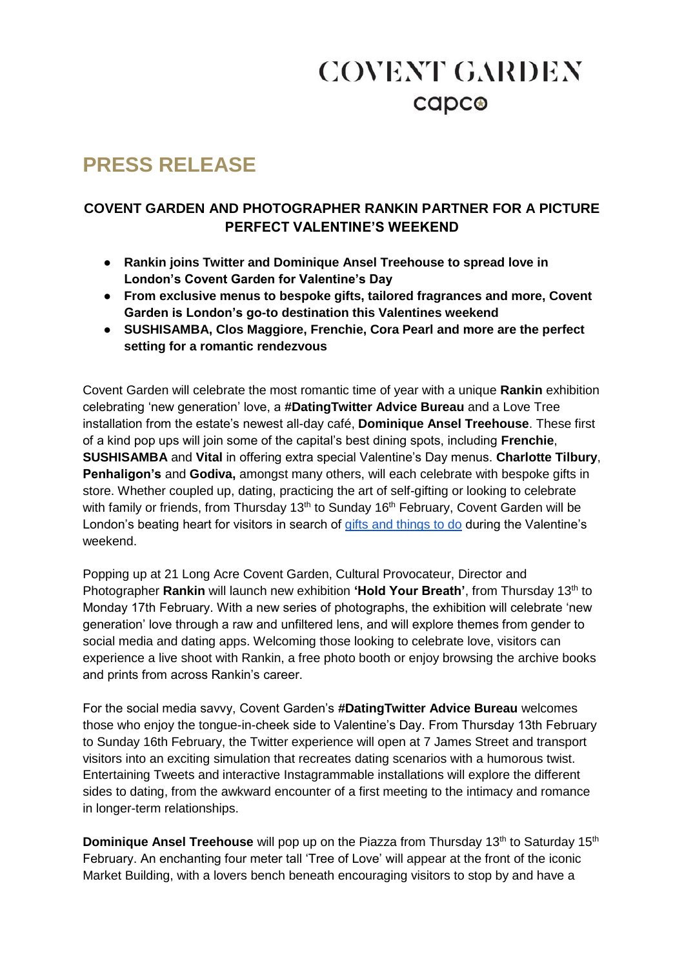# **COVENT GARDEN** capco

### **PRESS RELEASE**

#### **COVENT GARDEN AND PHOTOGRAPHER RANKIN PARTNER FOR A PICTURE PERFECT VALENTINE'S WEEKEND**

- **Rankin joins Twitter and Dominique Ansel Treehouse to spread love in London's Covent Garden for Valentine's Day**
- **From exclusive menus to bespoke gifts, tailored fragrances and more, Covent Garden is London's go-to destination this Valentines weekend**
- **SUSHISAMBA, Clos Maggiore, Frenchie, Cora Pearl and more are the perfect setting for a romantic rendezvous**

Covent Garden will celebrate the most romantic time of year with a unique **Rankin** exhibition celebrating 'new generation' love, a **#DatingTwitter Advice Bureau** and a Love Tree installation from the estate's newest all-day café, **Dominique Ansel Treehouse**. These first of a kind pop ups will join some of the capital's best dining spots, including **Frenchie**, **SUSHISAMBA** and **Vital** in offering extra special Valentine's Day menus. **Charlotte Tilbury**, **Penhaligon's** and **Godiva,** amongst many others, will each celebrate with bespoke gifts in store. Whether coupled up, dating, practicing the art of self-gifting or looking to celebrate with family or friends, from Thursday 13<sup>th</sup> to Sunday 16<sup>th</sup> February, Covent Garden will be London's beating heart for visitors in search of [gifts and things to do](https://www.coventgarden.london/valentines) during the Valentine's weekend.

Popping up at 21 Long Acre Covent Garden, Cultural Provocateur, Director and Photographer **Rankin** will launch new exhibition **'Hold Your Breath'**, from Thursday 13<sup>th</sup> to Monday 17th February. With a new series of photographs, the exhibition will celebrate 'new generation' love through a raw and unfiltered lens, and will explore themes from gender to social media and dating apps. Welcoming those looking to celebrate love, visitors can experience a live shoot with Rankin, a free photo booth or enjoy browsing the archive books and prints from across Rankin's career.

For the social media savvy, Covent Garden's **#DatingTwitter Advice Bureau** welcomes those who enjoy the tongue-in-cheek side to Valentine's Day. From Thursday 13th February to Sunday 16th February, the Twitter experience will open at 7 James Street and transport visitors into an exciting simulation that recreates dating scenarios with a humorous twist. Entertaining Tweets and interactive Instagrammable installations will explore the different sides to dating, from the awkward encounter of a first meeting to the intimacy and romance in longer-term relationships.

**Dominique Ansel Treehouse** will pop up on the Piazza from Thursday 13<sup>th</sup> to Saturday 15<sup>th</sup> February. An enchanting four meter tall 'Tree of Love' will appear at the front of the iconic Market Building, with a lovers bench beneath encouraging visitors to stop by and have a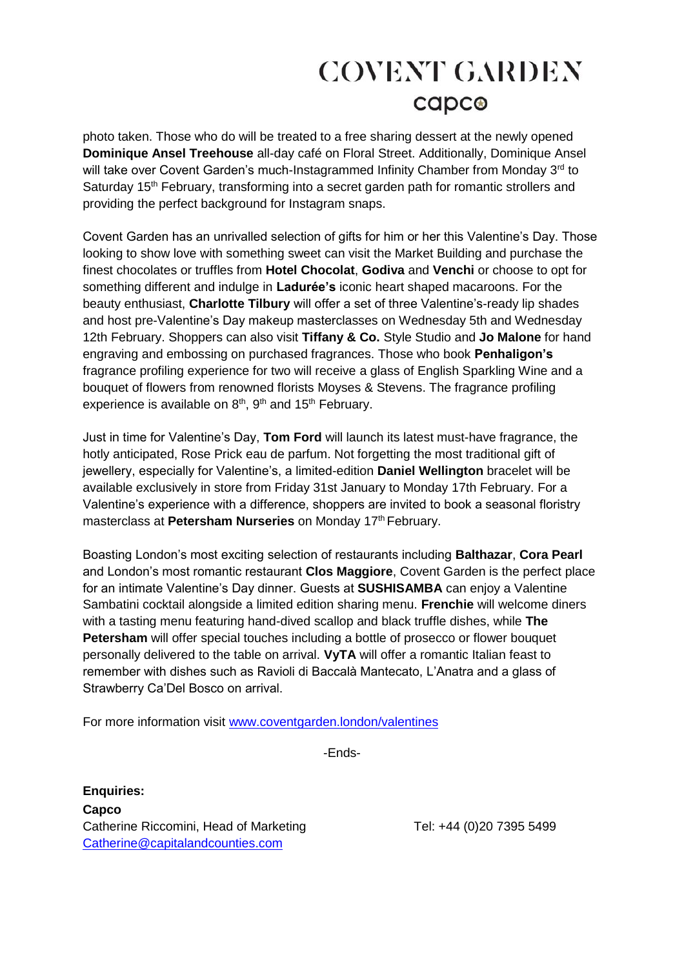# **COVENT GARDEN** capco

photo taken. Those who do will be treated to a free sharing dessert at the newly opened **Dominique Ansel Treehouse** all-day café on Floral Street. Additionally, Dominique Ansel will take over Covent Garden's much-Instagrammed Infinity Chamber from Monday 3<sup>rd</sup> to Saturday 15<sup>th</sup> February, transforming into a secret garden path for romantic strollers and providing the perfect background for Instagram snaps.

Covent Garden has an unrivalled selection of gifts for him or her this Valentine's Day. Those looking to show love with something sweet can visit the Market Building and purchase the finest chocolates or truffles from **Hotel Chocolat**, **Godiva** and **Venchi** or choose to opt for something different and indulge in **Ladurée's** iconic heart shaped macaroons. For the beauty enthusiast, **Charlotte Tilbury** will offer a set of three Valentine's-ready lip shades and host pre-Valentine's Day makeup masterclasses on Wednesday 5th and Wednesday 12th February. Shoppers can also visit **Tiffany & Co.** Style Studio and **Jo Malone** for hand engraving and embossing on purchased fragrances. Those who book **Penhaligon's** fragrance profiling experience for two will receive a glass of English Sparkling Wine and a bouquet of flowers from renowned florists Moyses & Stevens. The fragrance profiling experience is available on  $8<sup>th</sup>$ ,  $9<sup>th</sup>$  and  $15<sup>th</sup>$  February.

Just in time for Valentine's Day, **Tom Ford** will launch its latest must-have fragrance, the hotly anticipated, Rose Prick eau de parfum. Not forgetting the most traditional gift of jewellery, especially for Valentine's, a limited-edition **Daniel Wellington** bracelet will be available exclusively in store from Friday 31st January to Monday 17th February. For a Valentine's experience with a difference, shoppers are invited to book a seasonal floristry masterclass at Petersham Nurseries on Monday 17<sup>th</sup> February.

Boasting London's most exciting selection of restaurants including **Balthazar**, **Cora Pearl** and London's most romantic restaurant **Clos Maggiore**, Covent Garden is the perfect place for an intimate Valentine's Day dinner. Guests at **SUSHISAMBA** can enjoy a Valentine Sambatini cocktail alongside a limited edition sharing menu. **Frenchie** will welcome diners with a tasting menu featuring hand-dived scallop and black truffle dishes, while **The Petersham** will offer special touches including a bottle of prosecco or flower bouquet personally delivered to the table on arrival. **VyTA** will offer a romantic Italian feast to remember with dishes such as Ravioli di Baccalà Mantecato, L'Anatra and a glass of Strawberry Ca'Del Bosco on arrival.

For more information visit [www.coventgarden.london/valentines](http://www.coventgarden.london/valentines)

-Ends-

**Enquiries: Capco** Catherine Riccomini, Head of Marketing Tel: +44 (0)20 7395 5499 [Catherine@capitalandcounties.com](mailto:Catherine@capitalandcounties.com)